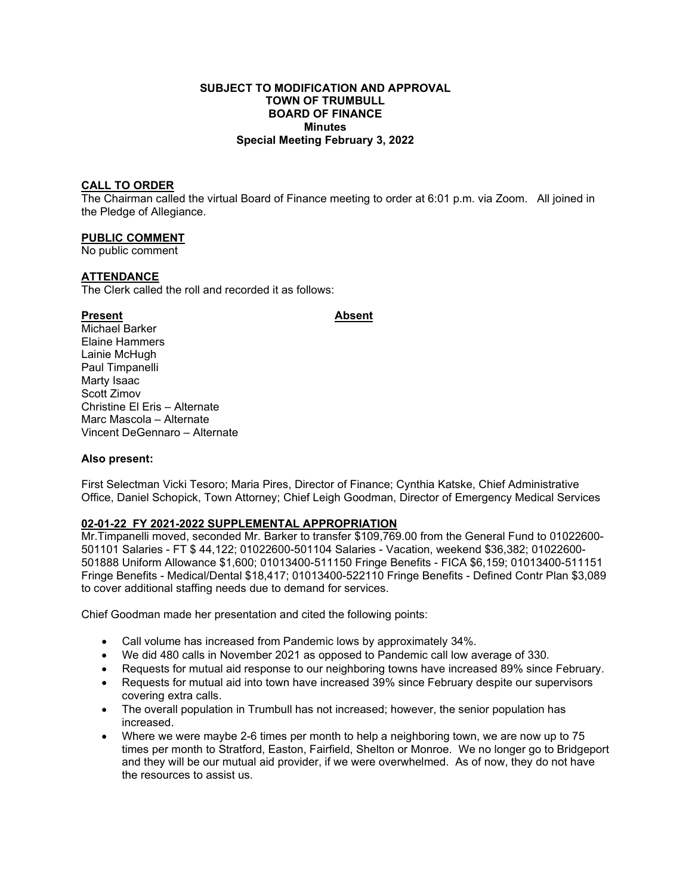# **SUBJECT TO MODIFICATION AND APPROVAL TOWN OF TRUMBULL BOARD OF FINANCE Minutes Special Meeting February 3, 2022**

# **CALL TO ORDER**

The Chairman called the virtual Board of Finance meeting to order at 6:01 p.m. via Zoom. All joined in the Pledge of Allegiance.

## **PUBLIC COMMENT**

No public comment

# **ATTENDANCE**

The Clerk called the roll and recorded it as follows:

## Present **Absent**

Michael Barker Elaine Hammers Lainie McHugh Paul Timpanelli Marty Isaac Scott Zimov Christine El Eris – Alternate Marc Mascola – Alternate Vincent DeGennaro – Alternate

### **Also present:**

First Selectman Vicki Tesoro; Maria Pires, Director of Finance; Cynthia Katske, Chief Administrative Office, Daniel Schopick, Town Attorney; Chief Leigh Goodman, Director of Emergency Medical Services

# **02-01-22 FY 2021-2022 SUPPLEMENTAL APPROPRIATION**

Mr.Timpanelli moved, seconded Mr. Barker to transfer \$109,769.00 from the General Fund to 01022600- 501101 Salaries - FT \$ 44,122; 01022600-501104 Salaries - Vacation, weekend \$36,382; 01022600- 501888 Uniform Allowance \$1,600; 01013400-511150 Fringe Benefits - FICA \$6,159; 01013400-511151 Fringe Benefits - Medical/Dental \$18,417; 01013400-522110 Fringe Benefits - Defined Contr Plan \$3,089 to cover additional staffing needs due to demand for services.

Chief Goodman made her presentation and cited the following points:

- Call volume has increased from Pandemic lows by approximately 34%.
- We did 480 calls in November 2021 as opposed to Pandemic call low average of 330.
- Requests for mutual aid response to our neighboring towns have increased 89% since February.
- Requests for mutual aid into town have increased 39% since February despite our supervisors covering extra calls.
- The overall population in Trumbull has not increased; however, the senior population has increased.
- Where we were maybe 2-6 times per month to help a neighboring town, we are now up to 75 times per month to Stratford, Easton, Fairfield, Shelton or Monroe. We no longer go to Bridgeport and they will be our mutual aid provider, if we were overwhelmed. As of now, they do not have the resources to assist us.